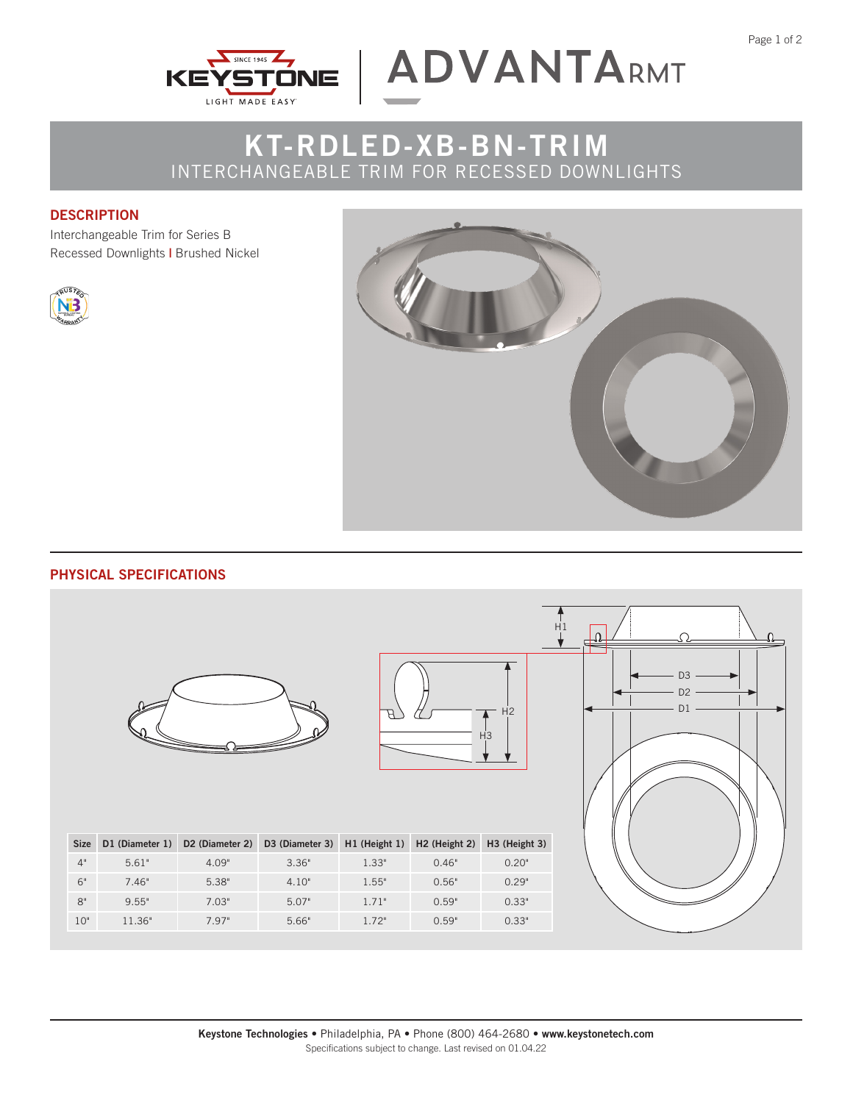



## **KT-RDLED-XB-BN-TRIM** INTERCHANGEABLE TRIM FOR RECESSED DOWNLIGHTS

### **DESCRIPTION**

Interchangeable Trim for Series B Recessed Downlights **|** Brushed Nickel





## **PHYSICAL SPECIFICATIONS**





| <b>Size</b> | D1 (Diameter 1) | D <sub>2</sub> (Diameter 2) | D3 (Diameter 3) H1 (Height 1) |       | H <sub>2</sub> (Height 2) | H <sub>3</sub> (Height 3) |
|-------------|-----------------|-----------------------------|-------------------------------|-------|---------------------------|---------------------------|
| 4"          | 5.61"           | 4.09"                       | 3.36"                         | 1.33" | 0.46"                     | 0.20"                     |
| 6"          | 7.46"           | 5.38"                       | 4.10"                         | 1.55" | 0.56"                     | 0.29"                     |
| $8^{\circ}$ | 9.55"           | 7.03"                       | 5.07"                         | 1.71" | 0.59"                     | 0.33"                     |
| 10"         | 11.36"          | 7.97"                       | 5.66"                         | 1.72" | 0.59"                     | 0.33"                     |